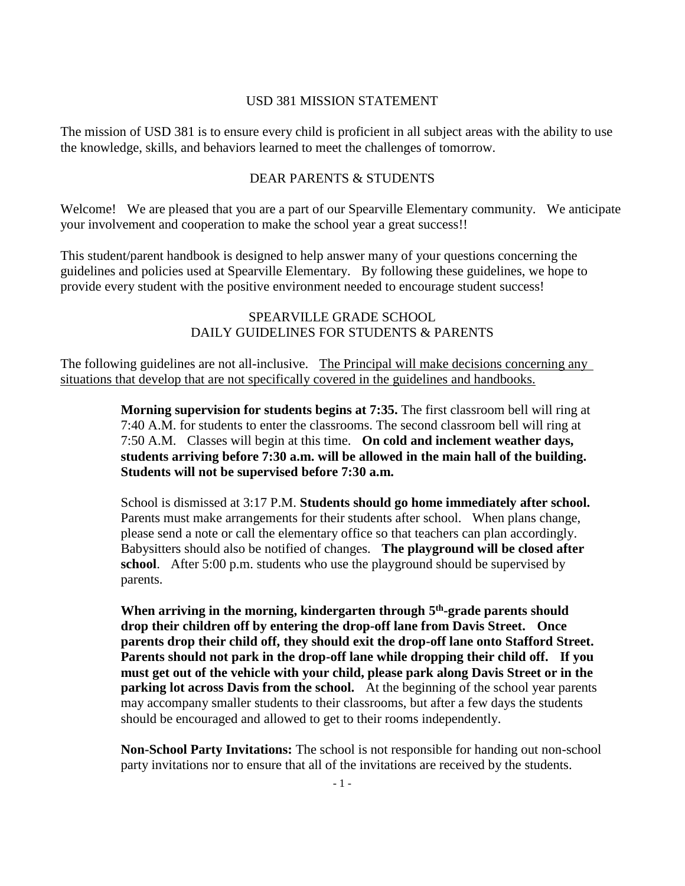### USD 381 MISSION STATEMENT

The mission of USD 381 is to ensure every child is proficient in all subject areas with the ability to use the knowledge, skills, and behaviors learned to meet the challenges of tomorrow.

# DEAR PARENTS & STUDENTS

Welcome! We are pleased that you are a part of our Spearville Elementary community. We anticipate your involvement and cooperation to make the school year a great success!!

This student/parent handbook is designed to help answer many of your questions concerning the guidelines and policies used at Spearville Elementary. By following these guidelines, we hope to provide every student with the positive environment needed to encourage student success!

### SPEARVILLE GRADE SCHOOL DAILY GUIDELINES FOR STUDENTS & PARENTS

The following guidelines are not all-inclusive. The Principal will make decisions concerning any situations that develop that are not specifically covered in the guidelines and handbooks.

> **Morning supervision for students begins at 7:35.** The first classroom bell will ring at 7:40 A.M. for students to enter the classrooms. The second classroom bell will ring at 7:50 A.M. Classes will begin at this time. **On cold and inclement weather days, students arriving before 7:30 a.m. will be allowed in the main hall of the building. Students will not be supervised before 7:30 a.m.**

> School is dismissed at 3:17 P.M. **Students should go home immediately after school.**  Parents must make arrangements for their students after school. When plans change, please send a note or call the elementary office so that teachers can plan accordingly. Babysitters should also be notified of changes. **The playground will be closed after school**. After 5:00 p.m. students who use the playground should be supervised by parents.

**When arriving in the morning, kindergarten through 5 th -grade parents should drop their children off by entering the drop-off lane from Davis Street. Once parents drop their child off, they should exit the drop-off lane onto Stafford Street. Parents should not park in the drop-off lane while dropping their child off. If you must get out of the vehicle with your child, please park along Davis Street or in the parking lot across Davis from the school.** At the beginning of the school year parents may accompany smaller students to their classrooms, but after a few days the students should be encouraged and allowed to get to their rooms independently.

**Non-School Party Invitations:** The school is not responsible for handing out non-school party invitations nor to ensure that all of the invitations are received by the students.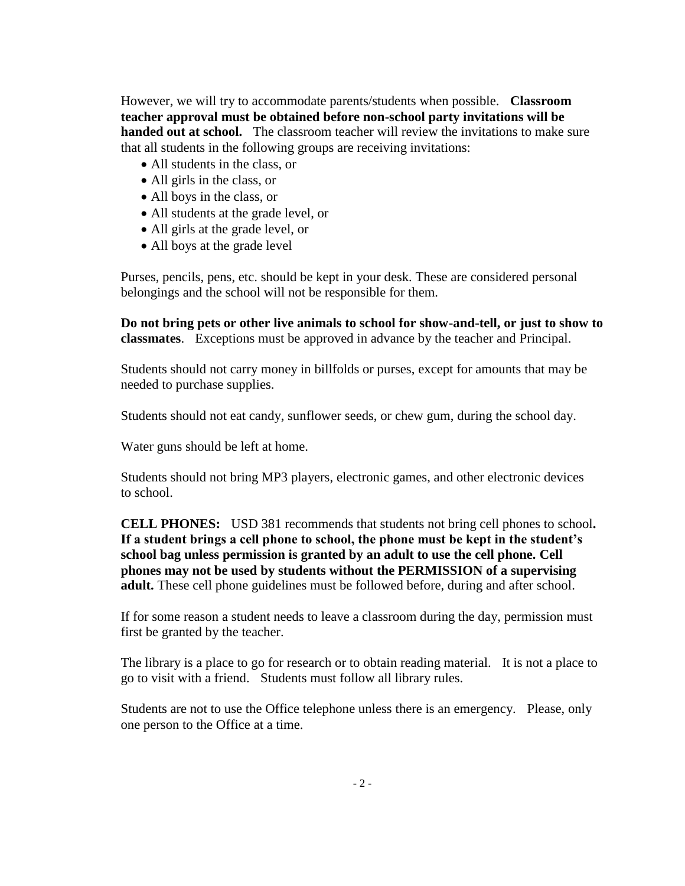However, we will try to accommodate parents/students when possible. **Classroom teacher approval must be obtained before non-school party invitations will be handed out at school.** The classroom teacher will review the invitations to make sure that all students in the following groups are receiving invitations:

- All students in the class, or
- All girls in the class, or
- All boys in the class, or
- All students at the grade level, or
- All girls at the grade level, or
- All boys at the grade level

Purses, pencils, pens, etc. should be kept in your desk. These are considered personal belongings and the school will not be responsible for them.

**Do not bring pets or other live animals to school for show-and-tell, or just to show to classmates**. Exceptions must be approved in advance by the teacher and Principal.

Students should not carry money in billfolds or purses, except for amounts that may be needed to purchase supplies.

Students should not eat candy, sunflower seeds, or chew gum, during the school day.

Water guns should be left at home.

Students should not bring MP3 players, electronic games, and other electronic devices to school.

**CELL PHONES:** USD 381 recommends that students not bring cell phones to school**. If a student brings a cell phone to school, the phone must be kept in the student's school bag unless permission is granted by an adult to use the cell phone. Cell phones may not be used by students without the PERMISSION of a supervising adult.** These cell phone guidelines must be followed before, during and after school.

If for some reason a student needs to leave a classroom during the day, permission must first be granted by the teacher.

The library is a place to go for research or to obtain reading material. It is not a place to go to visit with a friend. Students must follow all library rules.

Students are not to use the Office telephone unless there is an emergency. Please, only one person to the Office at a time.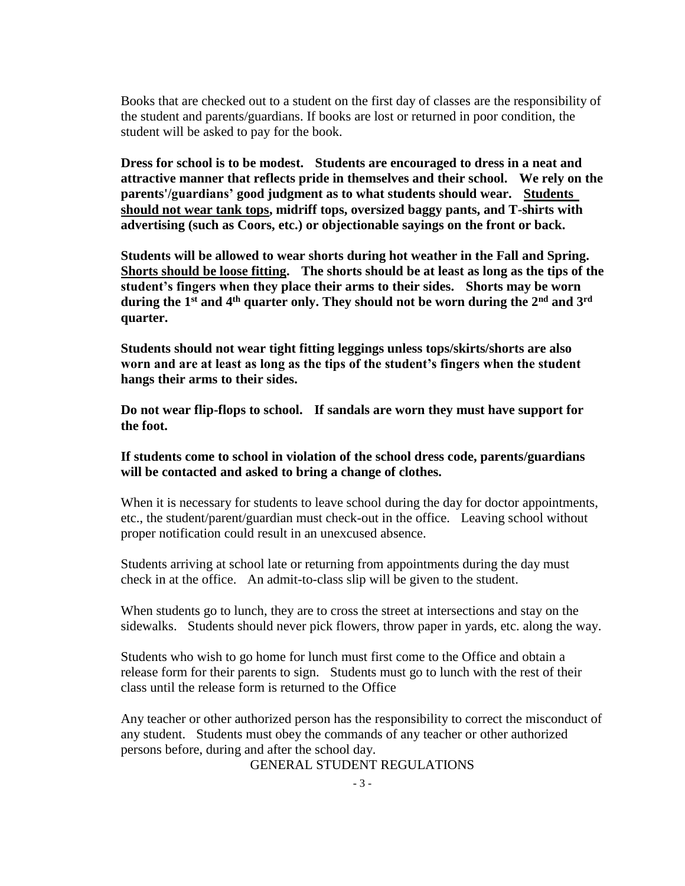Books that are checked out to a student on the first day of classes are the responsibility of the student and parents/guardians. If books are lost or returned in poor condition, the student will be asked to pay for the book.

**Dress for school is to be modest. Students are encouraged to dress in a neat and attractive manner that reflects pride in themselves and their school. We rely on the parents'/guardians' good judgment as to what students should wear. Students should not wear tank tops, midriff tops, oversized baggy pants, and T-shirts with advertising (such as Coors, etc.) or objectionable sayings on the front or back.**

**Students will be allowed to wear shorts during hot weather in the Fall and Spring. Shorts should be loose fitting. The shorts should be at least as long as the tips of the student's fingers when they place their arms to their sides. Shorts may be worn during the 1st and 4th quarter only. They should not be worn during the 2nd and 3rd quarter.**

**Students should not wear tight fitting leggings unless tops/skirts/shorts are also worn and are at least as long as the tips of the student's fingers when the student hangs their arms to their sides.**

**Do not wear flip-flops to school. If sandals are worn they must have support for the foot.**

**If students come to school in violation of the school dress code, parents/guardians will be contacted and asked to bring a change of clothes.**

When it is necessary for students to leave school during the day for doctor appointments, etc., the student/parent/guardian must check-out in the office. Leaving school without proper notification could result in an unexcused absence.

Students arriving at school late or returning from appointments during the day must check in at the office. An admit-to-class slip will be given to the student.

When students go to lunch, they are to cross the street at intersections and stay on the sidewalks. Students should never pick flowers, throw paper in yards, etc. along the way.

Students who wish to go home for lunch must first come to the Office and obtain a release form for their parents to sign. Students must go to lunch with the rest of their class until the release form is returned to the Office

Any teacher or other authorized person has the responsibility to correct the misconduct of any student. Students must obey the commands of any teacher or other authorized persons before, during and after the school day.

GENERAL STUDENT REGULATIONS

 $-3 -$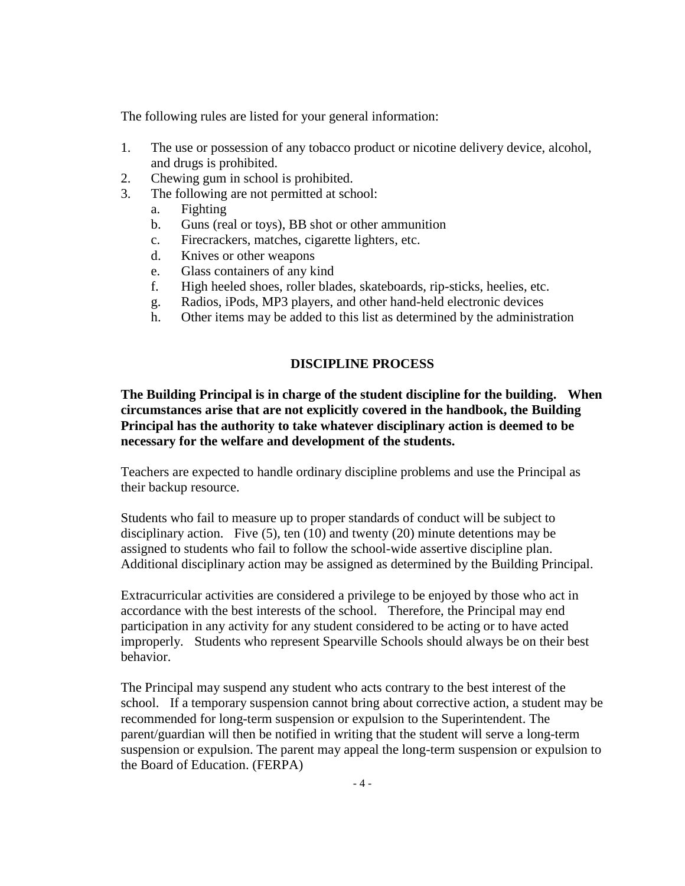The following rules are listed for your general information:

- 1. The use or possession of any tobacco product or nicotine delivery device, alcohol, and drugs is prohibited.
- 2. Chewing gum in school is prohibited.
- 3. The following are not permitted at school:
	- a. Fighting
	- b. Guns (real or toys), BB shot or other ammunition
	- c. Firecrackers, matches, cigarette lighters, etc.
	- d. Knives or other weapons
	- e. Glass containers of any kind
	- f. High heeled shoes, roller blades, skateboards, rip-sticks, heelies, etc.
	- g. Radios, iPods, MP3 players, and other hand-held electronic devices
	- h. Other items may be added to this list as determined by the administration

# **DISCIPLINE PROCESS**

**The Building Principal is in charge of the student discipline for the building. When circumstances arise that are not explicitly covered in the handbook, the Building Principal has the authority to take whatever disciplinary action is deemed to be necessary for the welfare and development of the students.**

Teachers are expected to handle ordinary discipline problems and use the Principal as their backup resource.

Students who fail to measure up to proper standards of conduct will be subject to disciplinary action. Five  $(5)$ , ten  $(10)$  and twenty  $(20)$  minute detentions may be assigned to students who fail to follow the school-wide assertive discipline plan. Additional disciplinary action may be assigned as determined by the Building Principal.

Extracurricular activities are considered a privilege to be enjoyed by those who act in accordance with the best interests of the school. Therefore, the Principal may end participation in any activity for any student considered to be acting or to have acted improperly. Students who represent Spearville Schools should always be on their best behavior.

The Principal may suspend any student who acts contrary to the best interest of the school. If a temporary suspension cannot bring about corrective action, a student may be recommended for long-term suspension or expulsion to the Superintendent. The parent/guardian will then be notified in writing that the student will serve a long-term suspension or expulsion. The parent may appeal the long-term suspension or expulsion to the Board of Education. (FERPA)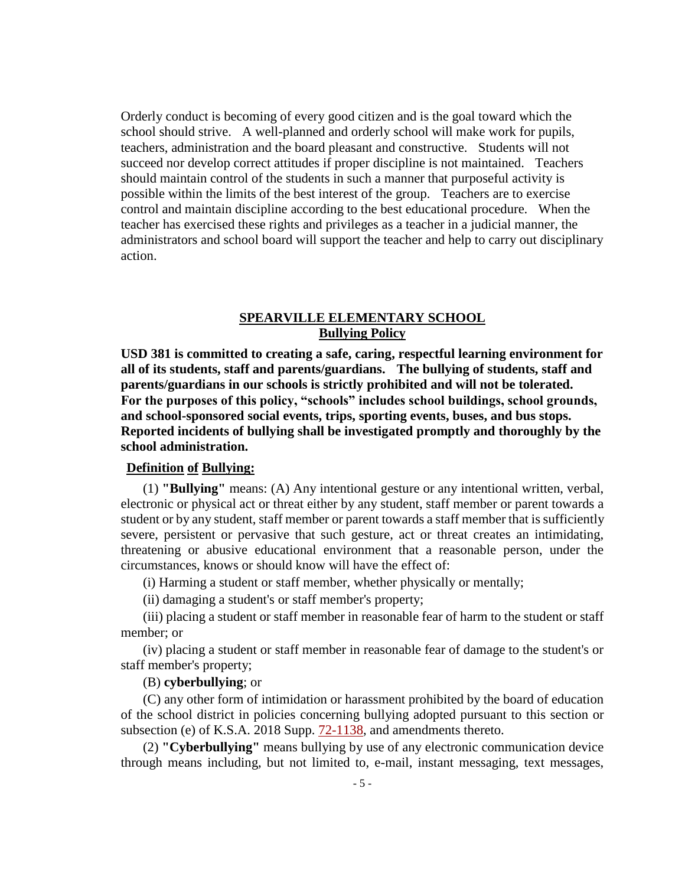Orderly conduct is becoming of every good citizen and is the goal toward which the school should strive. A well-planned and orderly school will make work for pupils, teachers, administration and the board pleasant and constructive. Students will not succeed nor develop correct attitudes if proper discipline is not maintained. Teachers should maintain control of the students in such a manner that purposeful activity is possible within the limits of the best interest of the group. Teachers are to exercise control and maintain discipline according to the best educational procedure. When the teacher has exercised these rights and privileges as a teacher in a judicial manner, the administrators and school board will support the teacher and help to carry out disciplinary action.

### **SPEARVILLE ELEMENTARY SCHOOL Bullying Policy**

**USD 381 is committed to creating a safe, caring, respectful learning environment for all of its students, staff and parents/guardians. The bullying of students, staff and parents/guardians in our schools is strictly prohibited and will not be tolerated. For the purposes of this policy, "schools" includes school buildings, school grounds, and school-sponsored social events, trips, sporting events, buses, and bus stops. Reported incidents of bullying shall be investigated promptly and thoroughly by the school administration.**

### **Definition of Bullying:**

(1) **"Bullying"** means: (A) Any intentional gesture or any intentional written, verbal, electronic or physical act or threat either by any student, staff member or parent towards a student or by any student, staff member or parent towards a staff member that is sufficiently severe, persistent or pervasive that such gesture, act or threat creates an intimidating, threatening or abusive educational environment that a reasonable person, under the circumstances, knows or should know will have the effect of:

(i) Harming a student or staff member, whether physically or mentally;

(ii) damaging a student's or staff member's property;

(iii) placing a student or staff member in reasonable fear of harm to the student or staff member; or

(iv) placing a student or staff member in reasonable fear of damage to the student's or staff member's property;

#### (B) **cyberbullying**; or

(C) any other form of intimidation or harassment prohibited by the board of education of the school district in policies concerning bullying adopted pursuant to this section or subsection (e) of K.S.A. 2018 Supp. [72-1138,](http://www.ksrevisor.org/statutes/chapters/ch72/072_011_0038.html) and amendments thereto.

(2) **"Cyberbullying"** means bullying by use of any electronic communication device through means including, but not limited to, e-mail, instant messaging, text messages,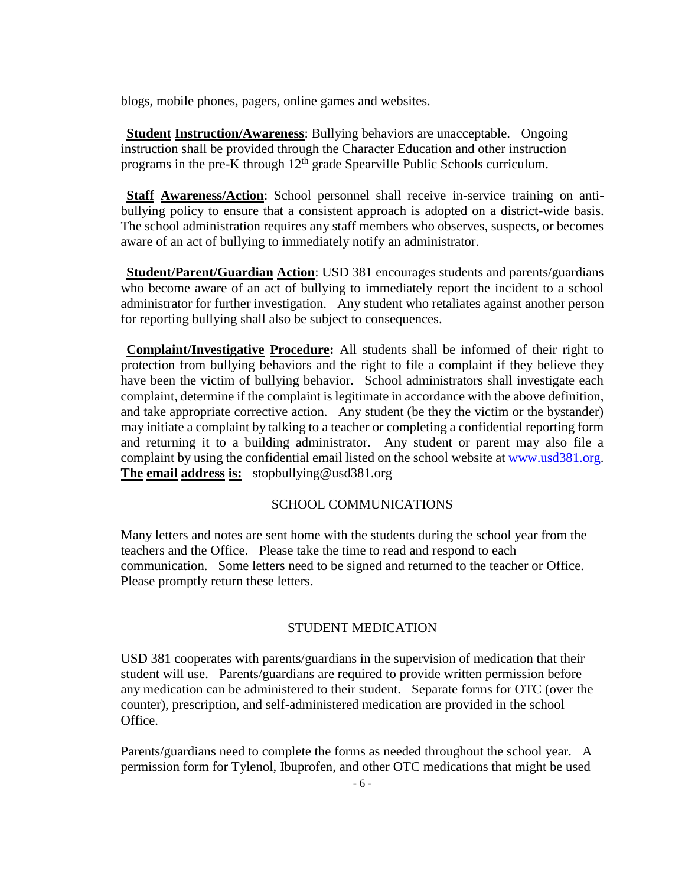blogs, mobile phones, pagers, online games and websites.

**Student Instruction/Awareness**: Bullying behaviors are unacceptable. Ongoing instruction shall be provided through the Character Education and other instruction programs in the pre-K through  $12<sup>th</sup>$  grade Spearville Public Schools curriculum.

**Staff Awareness/Action**: School personnel shall receive in-service training on antibullying policy to ensure that a consistent approach is adopted on a district-wide basis. The school administration requires any staff members who observes, suspects, or becomes aware of an act of bullying to immediately notify an administrator.

**Student/Parent/Guardian Action**: USD 381 encourages students and parents/guardians who become aware of an act of bullying to immediately report the incident to a school administrator for further investigation. Any student who retaliates against another person for reporting bullying shall also be subject to consequences.

**Complaint/Investigative Procedure:** All students shall be informed of their right to protection from bullying behaviors and the right to file a complaint if they believe they have been the victim of bullying behavior. School administrators shall investigate each complaint, determine if the complaint is legitimate in accordance with the above definition, and take appropriate corrective action. Any student (be they the victim or the bystander) may initiate a complaint by talking to a teacher or completing a confidential reporting form and returning it to a building administrator. Any student or parent may also file a complaint by using the confidential email listed on the school website at [www.usd381.org.](http://www.usd384.org/) **The email address is:** stopbullying@usd381.org

### SCHOOL COMMUNICATIONS

Many letters and notes are sent home with the students during the school year from the teachers and the Office. Please take the time to read and respond to each communication. Some letters need to be signed and returned to the teacher or Office. Please promptly return these letters.

#### STUDENT MEDICATION

USD 381 cooperates with parents/guardians in the supervision of medication that their student will use. Parents/guardians are required to provide written permission before any medication can be administered to their student. Separate forms for OTC (over the counter), prescription, and self-administered medication are provided in the school Office.

Parents/guardians need to complete the forms as needed throughout the school year. A permission form for Tylenol, Ibuprofen, and other OTC medications that might be used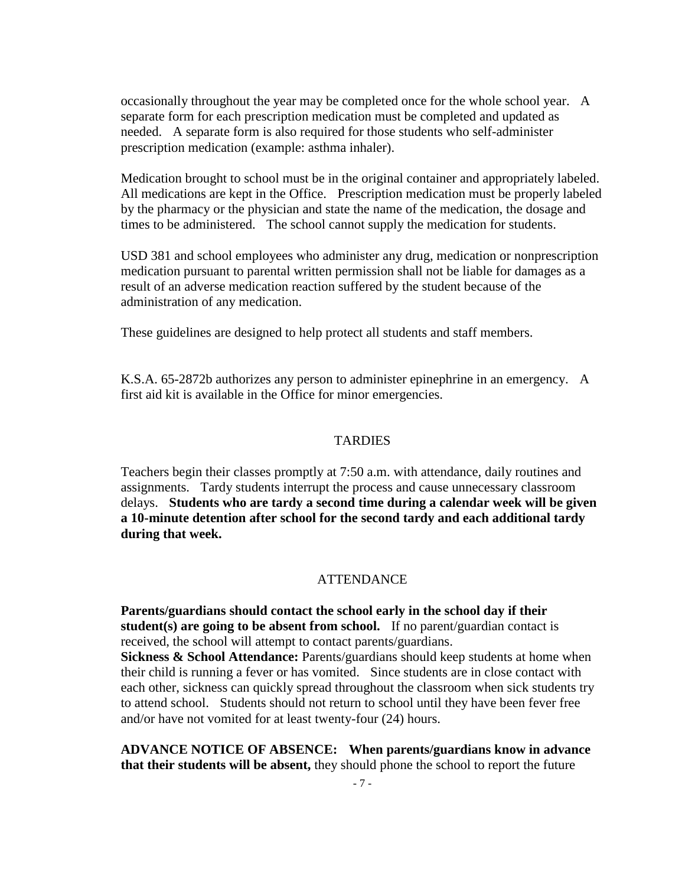occasionally throughout the year may be completed once for the whole school year. A separate form for each prescription medication must be completed and updated as needed. A separate form is also required for those students who self-administer prescription medication (example: asthma inhaler).

Medication brought to school must be in the original container and appropriately labeled. All medications are kept in the Office. Prescription medication must be properly labeled by the pharmacy or the physician and state the name of the medication, the dosage and times to be administered. The school cannot supply the medication for students.

USD 381 and school employees who administer any drug, medication or nonprescription medication pursuant to parental written permission shall not be liable for damages as a result of an adverse medication reaction suffered by the student because of the administration of any medication.

These guidelines are designed to help protect all students and staff members.

K.S.A. 65-2872b authorizes any person to administer epinephrine in an emergency. A first aid kit is available in the Office for minor emergencies.

#### TARDIES

Teachers begin their classes promptly at 7:50 a.m. with attendance, daily routines and assignments. Tardy students interrupt the process and cause unnecessary classroom delays. **Students who are tardy a second time during a calendar week will be given a 10-minute detention after school for the second tardy and each additional tardy during that week.**

#### **ATTENDANCE**

**Parents/guardians should contact the school early in the school day if their student(s) are going to be absent from school.** If no parent/guardian contact is received, the school will attempt to contact parents/guardians. **Sickness & School Attendance:** Parents/guardians should keep students at home when their child is running a fever or has vomited. Since students are in close contact with each other, sickness can quickly spread throughout the classroom when sick students try to attend school. Students should not return to school until they have been fever free and/or have not vomited for at least twenty-four (24) hours.

**ADVANCE NOTICE OF ABSENCE: When parents/guardians know in advance that their students will be absent,** they should phone the school to report the future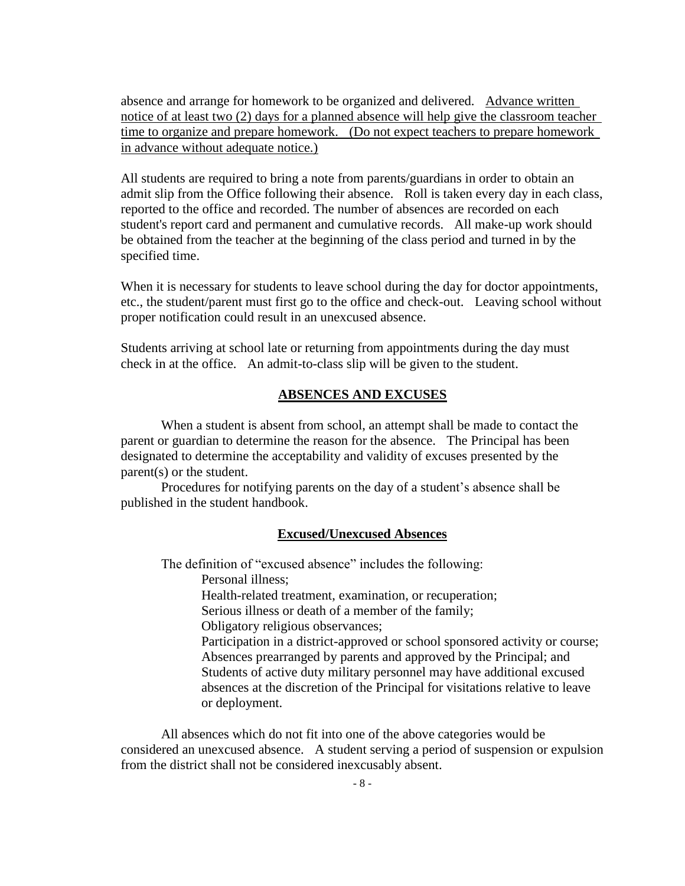absence and arrange for homework to be organized and delivered. Advance written notice of at least two (2) days for a planned absence will help give the classroom teacher time to organize and prepare homework. (Do not expect teachers to prepare homework in advance without adequate notice.)

All students are required to bring a note from parents/guardians in order to obtain an admit slip from the Office following their absence. Roll is taken every day in each class, reported to the office and recorded. The number of absences are recorded on each student's report card and permanent and cumulative records. All make-up work should be obtained from the teacher at the beginning of the class period and turned in by the specified time.

When it is necessary for students to leave school during the day for doctor appointments, etc., the student/parent must first go to the office and check-out. Leaving school without proper notification could result in an unexcused absence.

Students arriving at school late or returning from appointments during the day must check in at the office. An admit-to-class slip will be given to the student.

#### **ABSENCES AND EXCUSES**

When a student is absent from school, an attempt shall be made to contact the parent or guardian to determine the reason for the absence. The Principal has been designated to determine the acceptability and validity of excuses presented by the parent(s) or the student.

Procedures for notifying parents on the day of a student's absence shall be published in the student handbook.

#### **Excused/Unexcused Absences**

The definition of "excused absence" includes the following:

Personal illness;

Health-related treatment, examination, or recuperation;

Serious illness or death of a member of the family;

Obligatory religious observances;

Participation in a district-approved or school sponsored activity or course; Absences prearranged by parents and approved by the Principal; and Students of active duty military personnel may have additional excused absences at the discretion of the Principal for visitations relative to leave or deployment.

All absences which do not fit into one of the above categories would be considered an unexcused absence. A student serving a period of suspension or expulsion from the district shall not be considered inexcusably absent.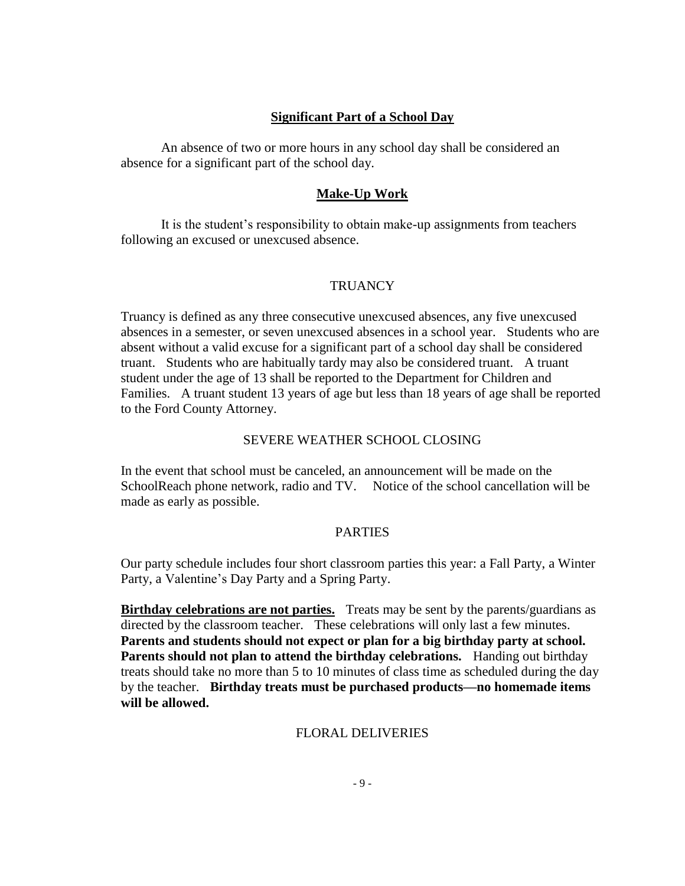### **Significant Part of a School Day**

An absence of two or more hours in any school day shall be considered an absence for a significant part of the school day.

### **Make-Up Work**

It is the student's responsibility to obtain make-up assignments from teachers following an excused or unexcused absence.

#### **TRUANCY**

Truancy is defined as any three consecutive unexcused absences, any five unexcused absences in a semester, or seven unexcused absences in a school year. Students who are absent without a valid excuse for a significant part of a school day shall be considered truant. Students who are habitually tardy may also be considered truant. A truant student under the age of 13 shall be reported to the Department for Children and Families. A truant student 13 years of age but less than 18 years of age shall be reported to the Ford County Attorney.

#### SEVERE WEATHER SCHOOL CLOSING

In the event that school must be canceled, an announcement will be made on the SchoolReach phone network, radio and TV. Notice of the school cancellation will be made as early as possible.

#### PARTIES

Our party schedule includes four short classroom parties this year: a Fall Party, a Winter Party, a Valentine's Day Party and a Spring Party.

**Birthday celebrations are not parties.** Treats may be sent by the parents/guardians as directed by the classroom teacher. These celebrations will only last a few minutes. **Parents and students should not expect or plan for a big birthday party at school. Parents should not plan to attend the birthday celebrations.** Handing out birthday treats should take no more than 5 to 10 minutes of class time as scheduled during the day by the teacher. **Birthday treats must be purchased products—no homemade items will be allowed.**

# FLORAL DELIVERIES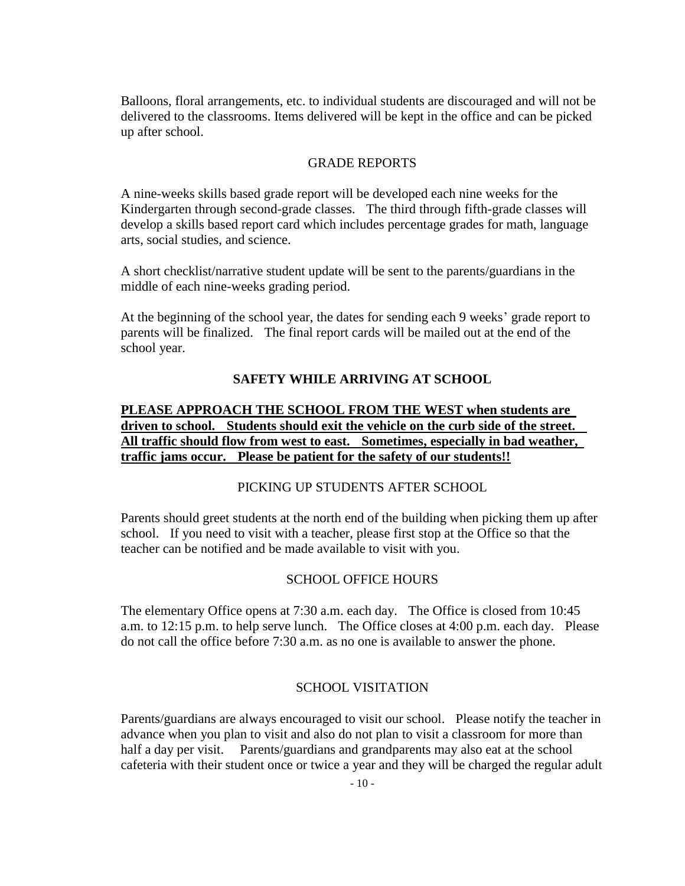Balloons, floral arrangements, etc. to individual students are discouraged and will not be delivered to the classrooms. Items delivered will be kept in the office and can be picked up after school.

#### GRADE REPORTS

A nine-weeks skills based grade report will be developed each nine weeks for the Kindergarten through second-grade classes. The third through fifth-grade classes will develop a skills based report card which includes percentage grades for math, language arts, social studies, and science.

A short checklist/narrative student update will be sent to the parents/guardians in the middle of each nine-weeks grading period.

At the beginning of the school year, the dates for sending each 9 weeks' grade report to parents will be finalized. The final report cards will be mailed out at the end of the school year.

#### **SAFETY WHILE ARRIVING AT SCHOOL**

# **PLEASE APPROACH THE SCHOOL FROM THE WEST when students are driven to school. Students should exit the vehicle on the curb side of the street. All traffic should flow from west to east. Sometimes, especially in bad weather, traffic jams occur. Please be patient for the safety of our students!!**

#### PICKING UP STUDENTS AFTER SCHOOL

Parents should greet students at the north end of the building when picking them up after school. If you need to visit with a teacher, please first stop at the Office so that the teacher can be notified and be made available to visit with you.

#### SCHOOL OFFICE HOURS

The elementary Office opens at 7:30 a.m. each day. The Office is closed from 10:45 a.m. to 12:15 p.m. to help serve lunch. The Office closes at 4:00 p.m. each day. Please do not call the office before 7:30 a.m. as no one is available to answer the phone.

#### SCHOOL VISITATION

Parents/guardians are always encouraged to visit our school. Please notify the teacher in advance when you plan to visit and also do not plan to visit a classroom for more than half a day per visit. Parents/guardians and grandparents may also eat at the school cafeteria with their student once or twice a year and they will be charged the regular adult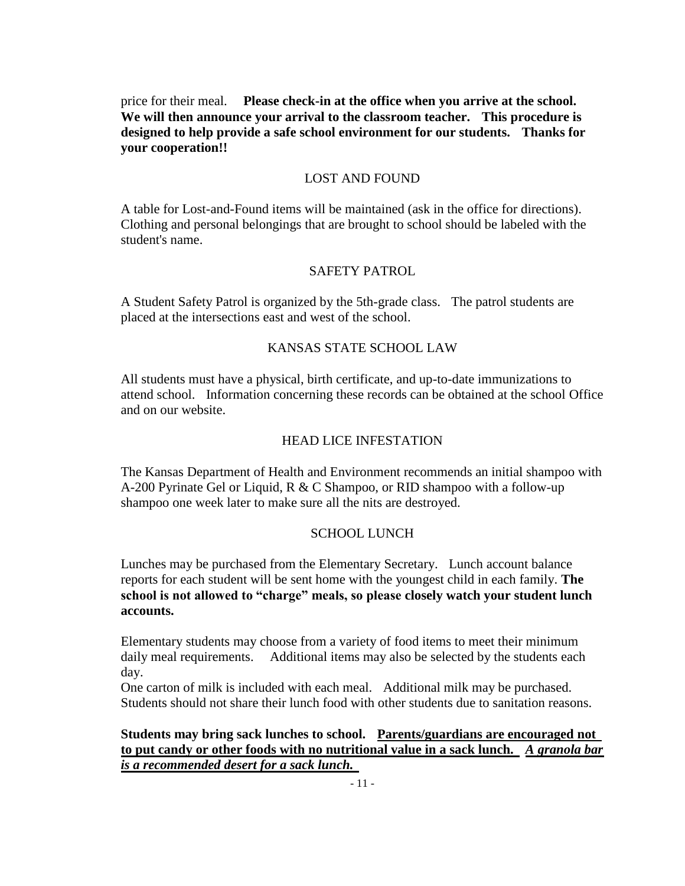price for their meal. **Please check-in at the office when you arrive at the school. We will then announce your arrival to the classroom teacher. This procedure is designed to help provide a safe school environment for our students. Thanks for your cooperation!!**

### LOST AND FOUND

A table for Lost-and-Found items will be maintained (ask in the office for directions). Clothing and personal belongings that are brought to school should be labeled with the student's name.

# SAFETY PATROL

A Student Safety Patrol is organized by the 5th-grade class. The patrol students are placed at the intersections east and west of the school.

#### KANSAS STATE SCHOOL LAW

All students must have a physical, birth certificate, and up-to-date immunizations to attend school. Information concerning these records can be obtained at the school Office and on our website.

### HEAD LICE INFESTATION

The Kansas Department of Health and Environment recommends an initial shampoo with A-200 Pyrinate Gel or Liquid, R & C Shampoo, or RID shampoo with a follow-up shampoo one week later to make sure all the nits are destroyed.

#### SCHOOL LUNCH

Lunches may be purchased from the Elementary Secretary. Lunch account balance reports for each student will be sent home with the youngest child in each family. **The school is not allowed to "charge" meals, so please closely watch your student lunch accounts.**

Elementary students may choose from a variety of food items to meet their minimum daily meal requirements. Additional items may also be selected by the students each day.

One carton of milk is included with each meal. Additional milk may be purchased. Students should not share their lunch food with other students due to sanitation reasons.

**Students may bring sack lunches to school. Parents/guardians are encouraged not to put candy or other foods with no nutritional value in a sack lunch.** *A granola bar is a recommended desert for a sack lunch.*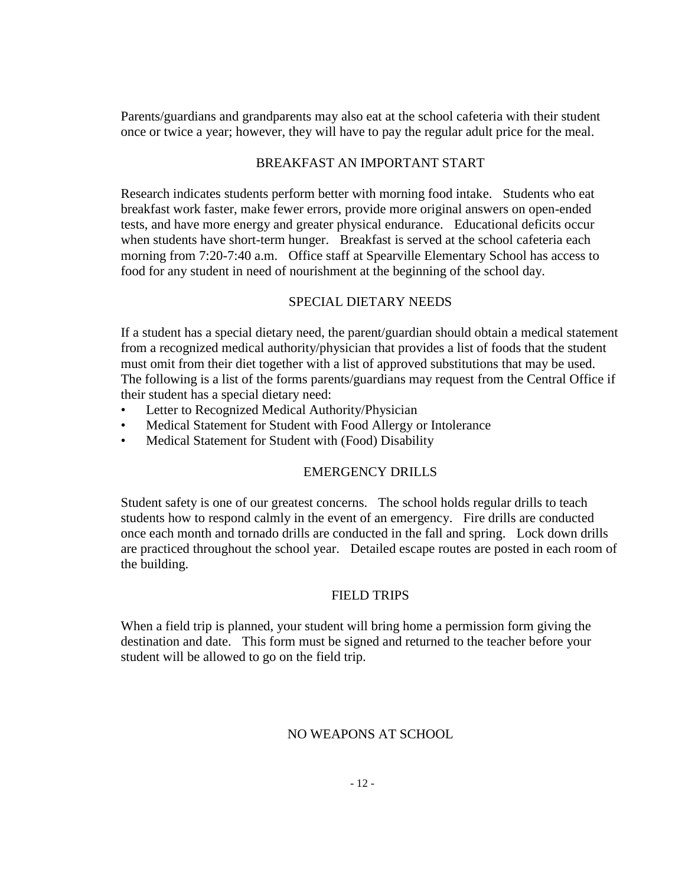Parents/guardians and grandparents may also eat at the school cafeteria with their student once or twice a year; however, they will have to pay the regular adult price for the meal.

# BREAKFAST AN IMPORTANT START

Research indicates students perform better with morning food intake. Students who eat breakfast work faster, make fewer errors, provide more original answers on open-ended tests, and have more energy and greater physical endurance. Educational deficits occur when students have short-term hunger. Breakfast is served at the school cafeteria each morning from 7:20-7:40 a.m. Office staff at Spearville Elementary School has access to food for any student in need of nourishment at the beginning of the school day.

### SPECIAL DIETARY NEEDS

If a student has a special dietary need, the parent/guardian should obtain a medical statement from a recognized medical authority/physician that provides a list of foods that the student must omit from their diet together with a list of approved substitutions that may be used. The following is a list of the forms parents/guardians may request from the Central Office if their student has a special dietary need:

- Letter to Recognized Medical Authority/Physician
- Medical Statement for Student with Food Allergy or Intolerance
- Medical Statement for Student with (Food) Disability

### EMERGENCY DRILLS

Student safety is one of our greatest concerns. The school holds regular drills to teach students how to respond calmly in the event of an emergency. Fire drills are conducted once each month and tornado drills are conducted in the fall and spring. Lock down drills are practiced throughout the school year. Detailed escape routes are posted in each room of the building.

#### FIELD TRIPS

When a field trip is planned, your student will bring home a permission form giving the destination and date. This form must be signed and returned to the teacher before your student will be allowed to go on the field trip.

# NO WEAPONS AT SCHOOL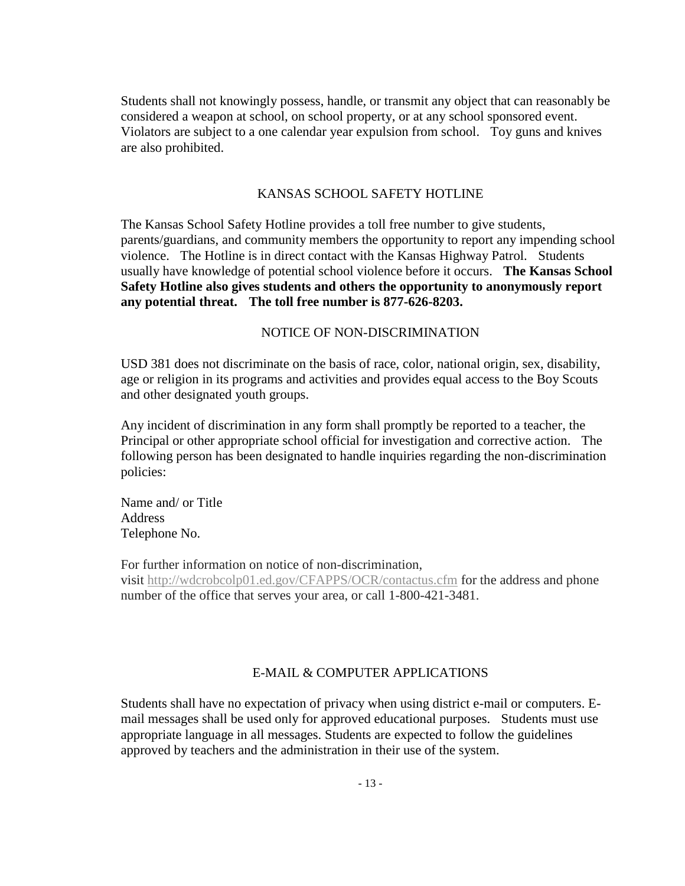Students shall not knowingly possess, handle, or transmit any object that can reasonably be considered a weapon at school, on school property, or at any school sponsored event. Violators are subject to a one calendar year expulsion from school. Toy guns and knives are also prohibited.

### KANSAS SCHOOL SAFETY HOTLINE

The Kansas School Safety Hotline provides a toll free number to give students, parents/guardians, and community members the opportunity to report any impending school violence. The Hotline is in direct contact with the Kansas Highway Patrol. Students usually have knowledge of potential school violence before it occurs. **The Kansas School Safety Hotline also gives students and others the opportunity to anonymously report any potential threat. The toll free number is 877-626-8203.** 

#### NOTICE OF NON-DISCRIMINATION

USD 381 does not discriminate on the basis of race, color, national origin, sex, disability, age or religion in its programs and activities and provides equal access to the Boy Scouts and other designated youth groups.

Any incident of discrimination in any form shall promptly be reported to a teacher, the Principal or other appropriate school official for investigation and corrective action. The following person has been designated to handle inquiries regarding the non-discrimination policies:

Name and/ or Title Address Telephone No.

For further information on notice of non-discrimination,

visit <http://wdcrobcolp01.ed.gov/CFAPPS/OCR/contactus.cfm> for the address and phone number of the office that serves your area, or call 1-800-421-3481.

### E-MAIL & COMPUTER APPLICATIONS

Students shall have no expectation of privacy when using district e-mail or computers. Email messages shall be used only for approved educational purposes. Students must use appropriate language in all messages. Students are expected to follow the guidelines approved by teachers and the administration in their use of the system.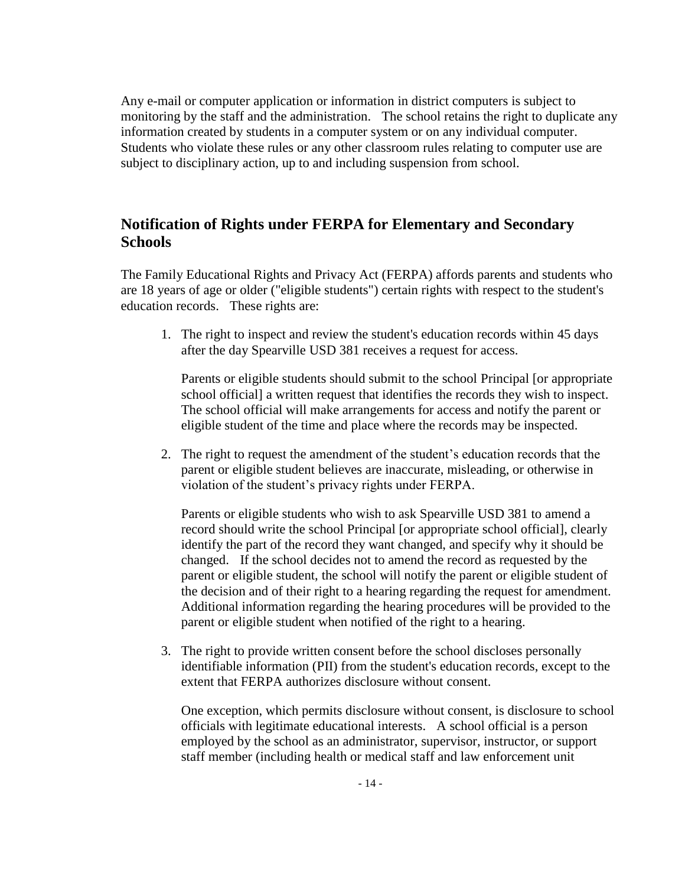Any e-mail or computer application or information in district computers is subject to monitoring by the staff and the administration. The school retains the right to duplicate any information created by students in a computer system or on any individual computer. Students who violate these rules or any other classroom rules relating to computer use are subject to disciplinary action, up to and including suspension from school.

# **Notification of Rights under FERPA for Elementary and Secondary Schools**

The Family Educational Rights and Privacy Act (FERPA) affords parents and students who are 18 years of age or older ("eligible students") certain rights with respect to the student's education records. These rights are:

1. The right to inspect and review the student's education records within 45 days after the day Spearville USD 381 receives a request for access.

Parents or eligible students should submit to the school Principal [or appropriate school official] a written request that identifies the records they wish to inspect. The school official will make arrangements for access and notify the parent or eligible student of the time and place where the records may be inspected.

2. The right to request the amendment of the student's education records that the parent or eligible student believes are inaccurate, misleading, or otherwise in violation of the student's privacy rights under FERPA.

Parents or eligible students who wish to ask Spearville USD 381 to amend a record should write the school Principal [or appropriate school official], clearly identify the part of the record they want changed, and specify why it should be changed. If the school decides not to amend the record as requested by the parent or eligible student, the school will notify the parent or eligible student of the decision and of their right to a hearing regarding the request for amendment. Additional information regarding the hearing procedures will be provided to the parent or eligible student when notified of the right to a hearing.

3. The right to provide written consent before the school discloses personally identifiable information (PII) from the student's education records, except to the extent that FERPA authorizes disclosure without consent.

One exception, which permits disclosure without consent, is disclosure to school officials with legitimate educational interests. A school official is a person employed by the school as an administrator, supervisor, instructor, or support staff member (including health or medical staff and law enforcement unit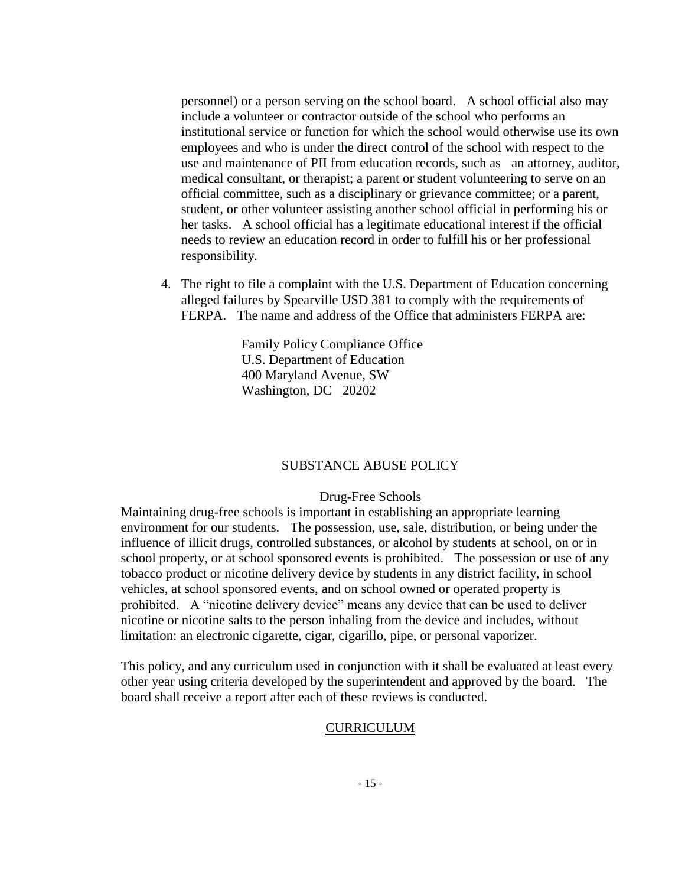personnel) or a person serving on the school board. A school official also may include a volunteer or contractor outside of the school who performs an institutional service or function for which the school would otherwise use its own employees and who is under the direct control of the school with respect to the use and maintenance of PII from education records, such as an attorney, auditor, medical consultant, or therapist; a parent or student volunteering to serve on an official committee, such as a disciplinary or grievance committee; or a parent, student, or other volunteer assisting another school official in performing his or her tasks. A school official has a legitimate educational interest if the official needs to review an education record in order to fulfill his or her professional responsibility.

4. The right to file a complaint with the U.S. Department of Education concerning alleged failures by Spearville USD 381 to comply with the requirements of FERPA. The name and address of the Office that administers FERPA are:

> Family Policy Compliance Office U.S. Department of Education 400 Maryland Avenue, SW Washington, DC 20202

#### SUBSTANCE ABUSE POLICY

#### Drug-Free Schools

Maintaining drug-free schools is important in establishing an appropriate learning environment for our students. The possession, use, sale, distribution, or being under the influence of illicit drugs, controlled substances, or alcohol by students at school, on or in school property, or at school sponsored events is prohibited. The possession or use of any tobacco product or nicotine delivery device by students in any district facility, in school vehicles, at school sponsored events, and on school owned or operated property is prohibited. A "nicotine delivery device" means any device that can be used to deliver nicotine or nicotine salts to the person inhaling from the device and includes, without limitation: an electronic cigarette, cigar, cigarillo, pipe, or personal vaporizer.

This policy, and any curriculum used in conjunction with it shall be evaluated at least every other year using criteria developed by the superintendent and approved by the board. The board shall receive a report after each of these reviews is conducted.

#### **CURRICULUM**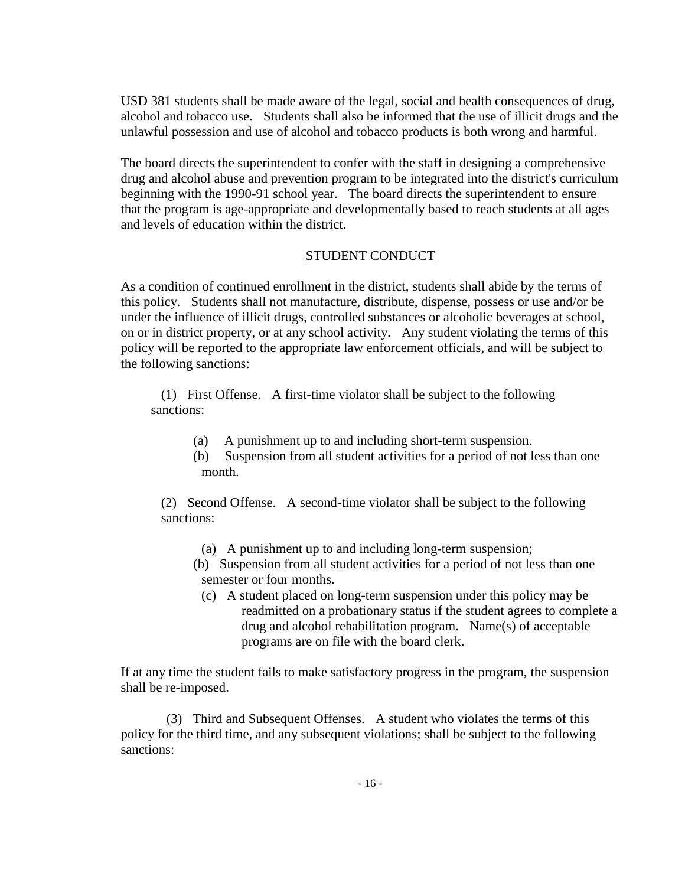USD 381 students shall be made aware of the legal, social and health consequences of drug, alcohol and tobacco use. Students shall also be informed that the use of illicit drugs and the unlawful possession and use of alcohol and tobacco products is both wrong and harmful.

The board directs the superintendent to confer with the staff in designing a comprehensive drug and alcohol abuse and prevention program to be integrated into the district's curriculum beginning with the 1990-91 school year. The board directs the superintendent to ensure that the program is age-appropriate and developmentally based to reach students at all ages and levels of education within the district.

### STUDENT CONDUCT

As a condition of continued enrollment in the district, students shall abide by the terms of this policy. Students shall not manufacture, distribute, dispense, possess or use and/or be under the influence of illicit drugs, controlled substances or alcoholic beverages at school, on or in district property, or at any school activity. Any student violating the terms of this policy will be reported to the appropriate law enforcement officials, and will be subject to the following sanctions:

(1) First Offense. A first-time violator shall be subject to the following sanctions:

- (a) A punishment up to and including short-term suspension.
- (b) Suspension from all student activities for a period of not less than one month.

(2) Second Offense. A second-time violator shall be subject to the following sanctions:

- (a) A punishment up to and including long-term suspension;
- (b) Suspension from all student activities for a period of not less than one semester or four months.
	- (c) A student placed on long-term suspension under this policy may be readmitted on a probationary status if the student agrees to complete a drug and alcohol rehabilitation program. Name(s) of acceptable programs are on file with the board clerk.

If at any time the student fails to make satisfactory progress in the program, the suspension shall be re-imposed.

(3) Third and Subsequent Offenses. A student who violates the terms of this policy for the third time, and any subsequent violations; shall be subject to the following sanctions: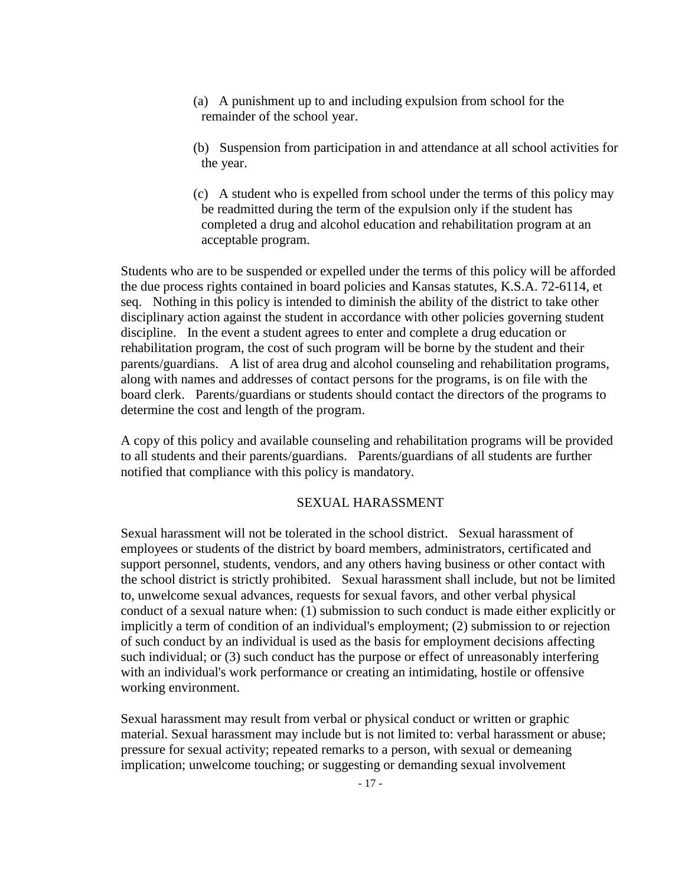- (a) A punishment up to and including expulsion from school for the remainder of the school year.
- (b) Suspension from participation in and attendance at all school activities for the year.
- (c) A student who is expelled from school under the terms of this policy may be readmitted during the term of the expulsion only if the student has completed a drug and alcohol education and rehabilitation program at an acceptable program.

Students who are to be suspended or expelled under the terms of this policy will be afforded the due process rights contained in board policies and Kansas statutes, K.S.A. 72-6114, et seq. Nothing in this policy is intended to diminish the ability of the district to take other disciplinary action against the student in accordance with other policies governing student discipline. In the event a student agrees to enter and complete a drug education or rehabilitation program, the cost of such program will be borne by the student and their parents/guardians. A list of area drug and alcohol counseling and rehabilitation programs, along with names and addresses of contact persons for the programs, is on file with the board clerk. Parents/guardians or students should contact the directors of the programs to determine the cost and length of the program.

A copy of this policy and available counseling and rehabilitation programs will be provided to all students and their parents/guardians. Parents/guardians of all students are further notified that compliance with this policy is mandatory.

#### SEXUAL HARASSMENT

Sexual harassment will not be tolerated in the school district. Sexual harassment of employees or students of the district by board members, administrators, certificated and support personnel, students, vendors, and any others having business or other contact with the school district is strictly prohibited. Sexual harassment shall include, but not be limited to, unwelcome sexual advances, requests for sexual favors, and other verbal physical conduct of a sexual nature when: (1) submission to such conduct is made either explicitly or implicitly a term of condition of an individual's employment; (2) submission to or rejection of such conduct by an individual is used as the basis for employment decisions affecting such individual; or (3) such conduct has the purpose or effect of unreasonably interfering with an individual's work performance or creating an intimidating, hostile or offensive working environment.

Sexual harassment may result from verbal or physical conduct or written or graphic material. Sexual harassment may include but is not limited to: verbal harassment or abuse; pressure for sexual activity; repeated remarks to a person, with sexual or demeaning implication; unwelcome touching; or suggesting or demanding sexual involvement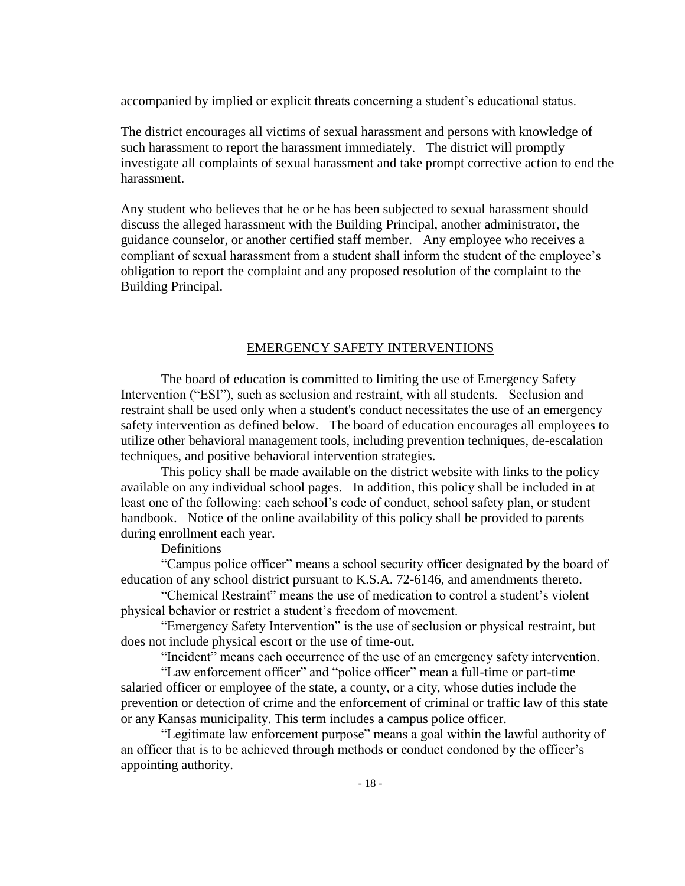accompanied by implied or explicit threats concerning a student's educational status.

The district encourages all victims of sexual harassment and persons with knowledge of such harassment to report the harassment immediately. The district will promptly investigate all complaints of sexual harassment and take prompt corrective action to end the harassment.

Any student who believes that he or he has been subjected to sexual harassment should discuss the alleged harassment with the Building Principal, another administrator, the guidance counselor, or another certified staff member. Any employee who receives a compliant of sexual harassment from a student shall inform the student of the employee's obligation to report the complaint and any proposed resolution of the complaint to the Building Principal.

#### EMERGENCY SAFETY INTERVENTIONS

The board of education is committed to limiting the use of Emergency Safety Intervention ("ESI"), such as seclusion and restraint, with all students. Seclusion and restraint shall be used only when a student's conduct necessitates the use of an emergency safety intervention as defined below. The board of education encourages all employees to utilize other behavioral management tools, including prevention techniques, de-escalation techniques, and positive behavioral intervention strategies.

This policy shall be made available on the district website with links to the policy available on any individual school pages. In addition, this policy shall be included in at least one of the following: each school's code of conduct, school safety plan, or student handbook. Notice of the online availability of this policy shall be provided to parents during enrollment each year.

Definitions

"Campus police officer" means a school security officer designated by the board of education of any school district pursuant to K.S.A. 72-6146, and amendments thereto.

"Chemical Restraint" means the use of medication to control a student's violent physical behavior or restrict a student's freedom of movement.

"Emergency Safety Intervention" is the use of seclusion or physical restraint, but does not include physical escort or the use of time-out.

"Incident" means each occurrence of the use of an emergency safety intervention.

"Law enforcement officer" and "police officer" mean a full-time or part-time salaried officer or employee of the state, a county, or a city, whose duties include the prevention or detection of crime and the enforcement of criminal or traffic law of this state or any Kansas municipality. This term includes a campus police officer.

"Legitimate law enforcement purpose" means a goal within the lawful authority of an officer that is to be achieved through methods or conduct condoned by the officer's appointing authority.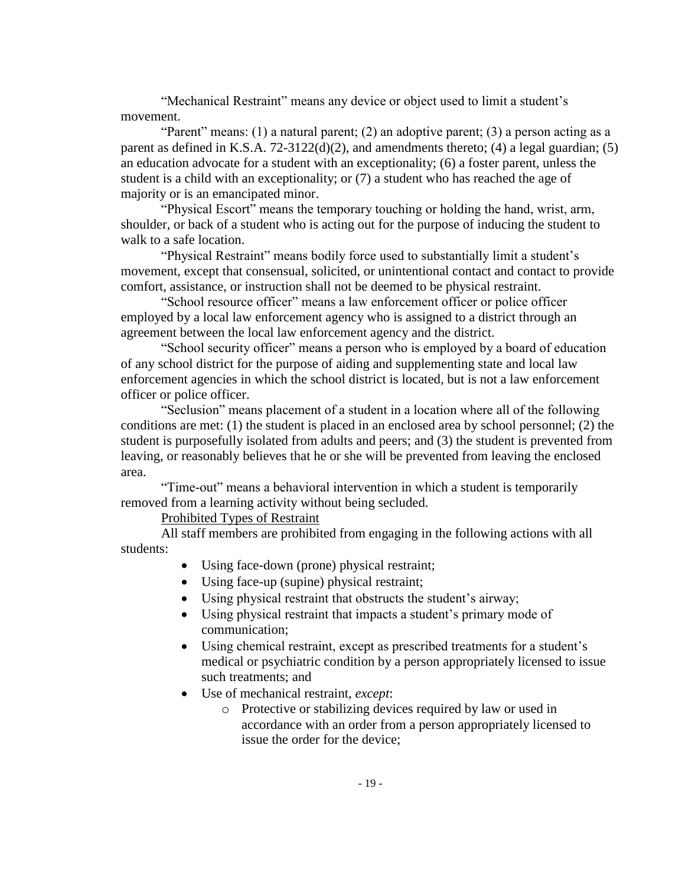"Mechanical Restraint" means any device or object used to limit a student's movement.

"Parent" means:  $(1)$  a natural parent;  $(2)$  an adoptive parent;  $(3)$  a person acting as a parent as defined in K.S.A. 72-3122(d)(2), and amendments thereto; (4) a legal guardian; (5) an education advocate for a student with an exceptionality; (6) a foster parent, unless the student is a child with an exceptionality; or (7) a student who has reached the age of majority or is an emancipated minor.

"Physical Escort" means the temporary touching or holding the hand, wrist, arm, shoulder, or back of a student who is acting out for the purpose of inducing the student to walk to a safe location.

"Physical Restraint" means bodily force used to substantially limit a student's movement, except that consensual, solicited, or unintentional contact and contact to provide comfort, assistance, or instruction shall not be deemed to be physical restraint.

"School resource officer" means a law enforcement officer or police officer employed by a local law enforcement agency who is assigned to a district through an agreement between the local law enforcement agency and the district.

"School security officer" means a person who is employed by a board of education of any school district for the purpose of aiding and supplementing state and local law enforcement agencies in which the school district is located, but is not a law enforcement officer or police officer.

"Seclusion" means placement of a student in a location where all of the following conditions are met: (1) the student is placed in an enclosed area by school personnel; (2) the student is purposefully isolated from adults and peers; and (3) the student is prevented from leaving, or reasonably believes that he or she will be prevented from leaving the enclosed area.

"Time-out" means a behavioral intervention in which a student is temporarily removed from a learning activity without being secluded.

### Prohibited Types of Restraint

All staff members are prohibited from engaging in the following actions with all students:

- Using face-down (prone) physical restraint;
- Using face-up (supine) physical restraint;
- Using physical restraint that obstructs the student's airway;
- Using physical restraint that impacts a student's primary mode of communication;
- Using chemical restraint, except as prescribed treatments for a student's medical or psychiatric condition by a person appropriately licensed to issue such treatments; and
- Use of mechanical restraint, *except*:
	- o Protective or stabilizing devices required by law or used in accordance with an order from a person appropriately licensed to issue the order for the device;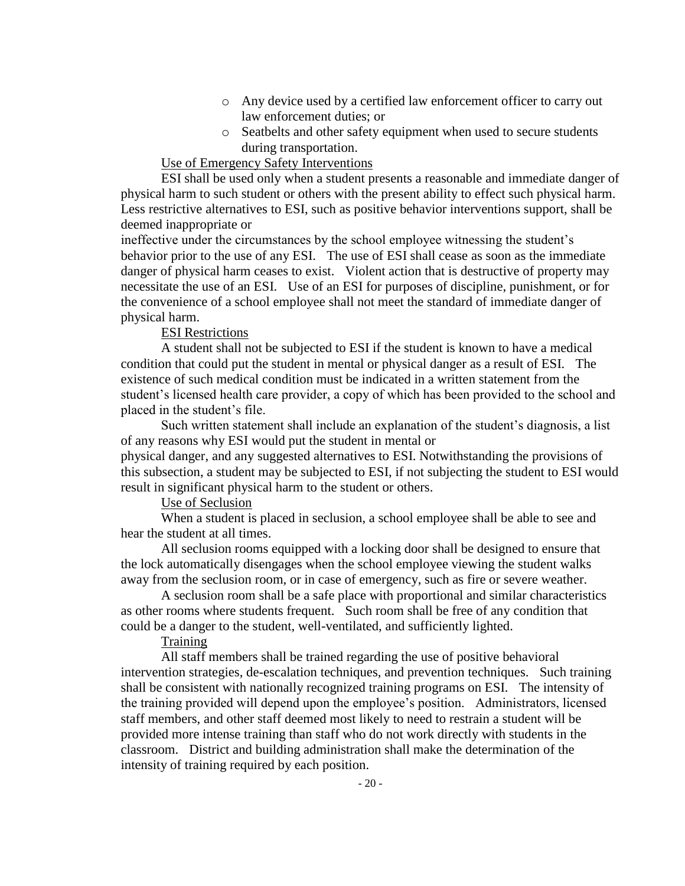- o Any device used by a certified law enforcement officer to carry out law enforcement duties; or
- o Seatbelts and other safety equipment when used to secure students during transportation.

### Use of Emergency Safety Interventions

ESI shall be used only when a student presents a reasonable and immediate danger of physical harm to such student or others with the present ability to effect such physical harm. Less restrictive alternatives to ESI, such as positive behavior interventions support, shall be deemed inappropriate or

ineffective under the circumstances by the school employee witnessing the student's behavior prior to the use of any ESI. The use of ESI shall cease as soon as the immediate danger of physical harm ceases to exist. Violent action that is destructive of property may necessitate the use of an ESI. Use of an ESI for purposes of discipline, punishment, or for the convenience of a school employee shall not meet the standard of immediate danger of physical harm.

### ESI Restrictions

A student shall not be subjected to ESI if the student is known to have a medical condition that could put the student in mental or physical danger as a result of ESI. The existence of such medical condition must be indicated in a written statement from the student's licensed health care provider, a copy of which has been provided to the school and placed in the student's file.

Such written statement shall include an explanation of the student's diagnosis, a list of any reasons why ESI would put the student in mental or

physical danger, and any suggested alternatives to ESI. Notwithstanding the provisions of this subsection, a student may be subjected to ESI, if not subjecting the student to ESI would result in significant physical harm to the student or others.

### Use of Seclusion

When a student is placed in seclusion, a school employee shall be able to see and hear the student at all times.

All seclusion rooms equipped with a locking door shall be designed to ensure that the lock automatically disengages when the school employee viewing the student walks away from the seclusion room, or in case of emergency, such as fire or severe weather.

A seclusion room shall be a safe place with proportional and similar characteristics as other rooms where students frequent. Such room shall be free of any condition that could be a danger to the student, well-ventilated, and sufficiently lighted.

# **Training**

All staff members shall be trained regarding the use of positive behavioral intervention strategies, de-escalation techniques, and prevention techniques. Such training shall be consistent with nationally recognized training programs on ESI. The intensity of the training provided will depend upon the employee's position. Administrators, licensed staff members, and other staff deemed most likely to need to restrain a student will be provided more intense training than staff who do not work directly with students in the classroom. District and building administration shall make the determination of the intensity of training required by each position.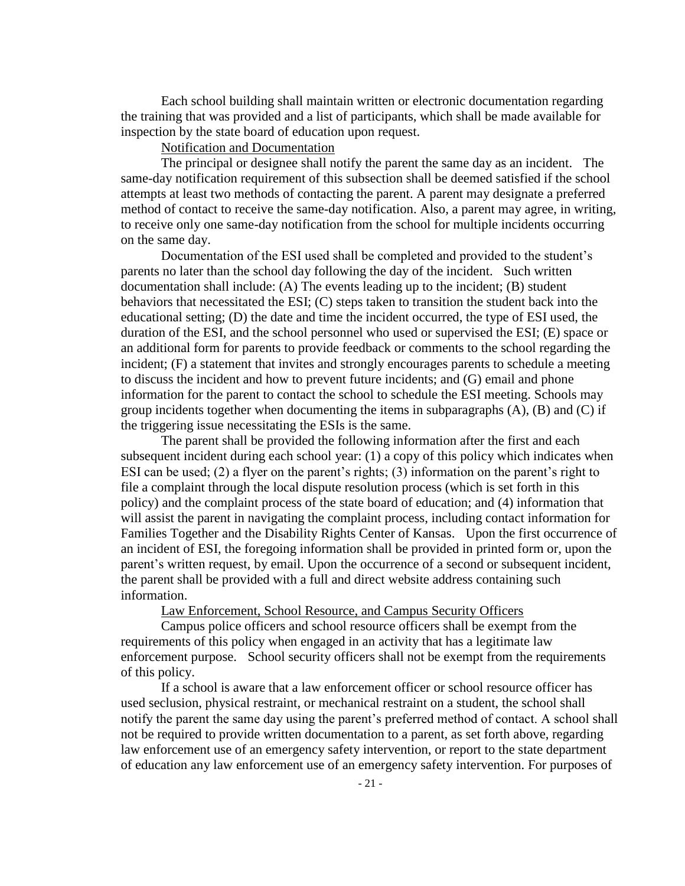Each school building shall maintain written or electronic documentation regarding the training that was provided and a list of participants, which shall be made available for inspection by the state board of education upon request.

# Notification and Documentation

The principal or designee shall notify the parent the same day as an incident. The same-day notification requirement of this subsection shall be deemed satisfied if the school attempts at least two methods of contacting the parent. A parent may designate a preferred method of contact to receive the same-day notification. Also, a parent may agree, in writing, to receive only one same-day notification from the school for multiple incidents occurring on the same day.

Documentation of the ESI used shall be completed and provided to the student's parents no later than the school day following the day of the incident. Such written documentation shall include: (A) The events leading up to the incident; (B) student behaviors that necessitated the ESI; (C) steps taken to transition the student back into the educational setting; (D) the date and time the incident occurred, the type of ESI used, the duration of the ESI, and the school personnel who used or supervised the ESI; (E) space or an additional form for parents to provide feedback or comments to the school regarding the incident; (F) a statement that invites and strongly encourages parents to schedule a meeting to discuss the incident and how to prevent future incidents; and (G) email and phone information for the parent to contact the school to schedule the ESI meeting. Schools may group incidents together when documenting the items in subparagraphs (A), (B) and (C) if the triggering issue necessitating the ESIs is the same.

The parent shall be provided the following information after the first and each subsequent incident during each school year: (1) a copy of this policy which indicates when ESI can be used; (2) a flyer on the parent's rights; (3) information on the parent's right to file a complaint through the local dispute resolution process (which is set forth in this policy) and the complaint process of the state board of education; and (4) information that will assist the parent in navigating the complaint process, including contact information for Families Together and the Disability Rights Center of Kansas. Upon the first occurrence of an incident of ESI, the foregoing information shall be provided in printed form or, upon the parent's written request, by email. Upon the occurrence of a second or subsequent incident, the parent shall be provided with a full and direct website address containing such information.

Law Enforcement, School Resource, and Campus Security Officers

Campus police officers and school resource officers shall be exempt from the requirements of this policy when engaged in an activity that has a legitimate law enforcement purpose. School security officers shall not be exempt from the requirements of this policy.

If a school is aware that a law enforcement officer or school resource officer has used seclusion, physical restraint, or mechanical restraint on a student, the school shall notify the parent the same day using the parent's preferred method of contact. A school shall not be required to provide written documentation to a parent, as set forth above, regarding law enforcement use of an emergency safety intervention, or report to the state department of education any law enforcement use of an emergency safety intervention. For purposes of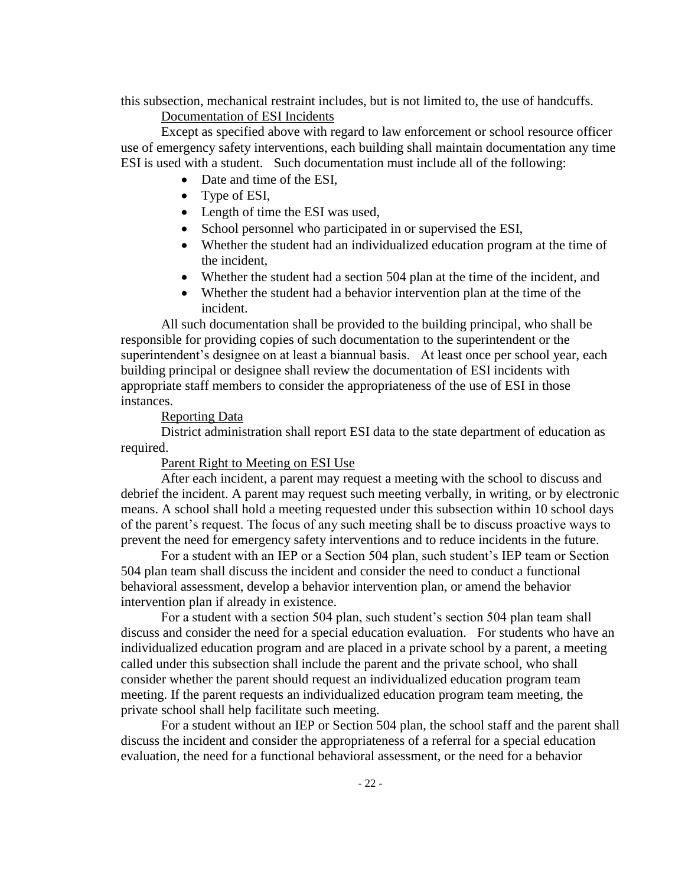this subsection, mechanical restraint includes, but is not limited to, the use of handcuffs.

# Documentation of ESI Incidents

Except as specified above with regard to law enforcement or school resource officer use of emergency safety interventions, each building shall maintain documentation any time ESI is used with a student. Such documentation must include all of the following:

- Date and time of the ESI,
- Type of ESI,
- Length of time the ESI was used,
- School personnel who participated in or supervised the ESI,
- Whether the student had an individualized education program at the time of the incident,
- Whether the student had a section 504 plan at the time of the incident, and
- Whether the student had a behavior intervention plan at the time of the incident.

All such documentation shall be provided to the building principal, who shall be responsible for providing copies of such documentation to the superintendent or the superintendent's designee on at least a biannual basis. At least once per school year, each building principal or designee shall review the documentation of ESI incidents with appropriate staff members to consider the appropriateness of the use of ESI in those instances.

### Reporting Data

District administration shall report ESI data to the state department of education as required.

Parent Right to Meeting on ESI Use

After each incident, a parent may request a meeting with the school to discuss and debrief the incident. A parent may request such meeting verbally, in writing, or by electronic means. A school shall hold a meeting requested under this subsection within 10 school days of the parent's request. The focus of any such meeting shall be to discuss proactive ways to prevent the need for emergency safety interventions and to reduce incidents in the future.

For a student with an IEP or a Section 504 plan, such student's IEP team or Section 504 plan team shall discuss the incident and consider the need to conduct a functional behavioral assessment, develop a behavior intervention plan, or amend the behavior intervention plan if already in existence.

For a student with a section 504 plan, such student's section 504 plan team shall discuss and consider the need for a special education evaluation. For students who have an individualized education program and are placed in a private school by a parent, a meeting called under this subsection shall include the parent and the private school, who shall consider whether the parent should request an individualized education program team meeting. If the parent requests an individualized education program team meeting, the private school shall help facilitate such meeting.

For a student without an IEP or Section 504 plan, the school staff and the parent shall discuss the incident and consider the appropriateness of a referral for a special education evaluation, the need for a functional behavioral assessment, or the need for a behavior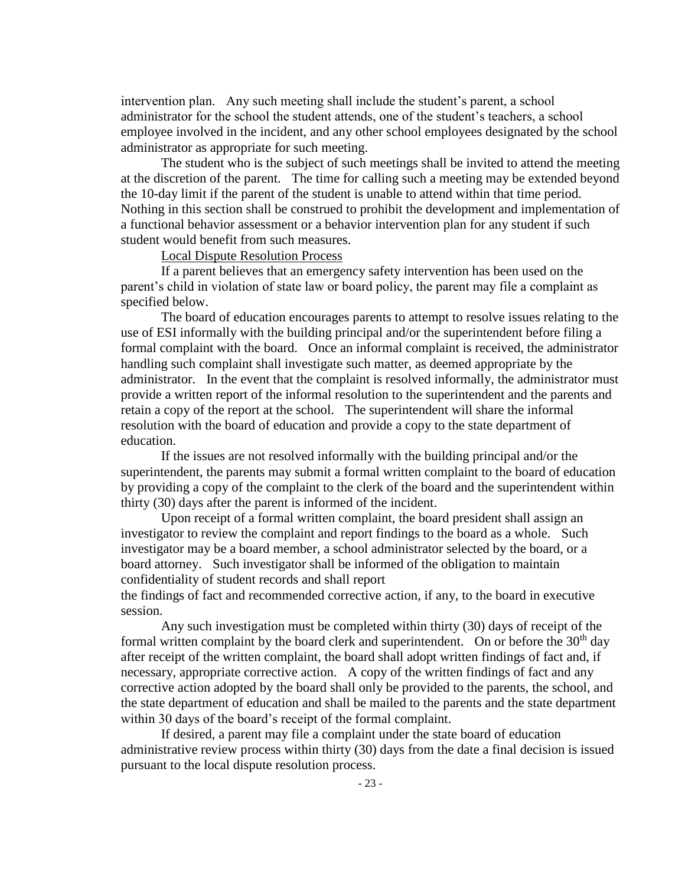intervention plan. Any such meeting shall include the student's parent, a school administrator for the school the student attends, one of the student's teachers, a school employee involved in the incident, and any other school employees designated by the school administrator as appropriate for such meeting.

The student who is the subject of such meetings shall be invited to attend the meeting at the discretion of the parent. The time for calling such a meeting may be extended beyond the 10-day limit if the parent of the student is unable to attend within that time period. Nothing in this section shall be construed to prohibit the development and implementation of a functional behavior assessment or a behavior intervention plan for any student if such student would benefit from such measures.

### Local Dispute Resolution Process

If a parent believes that an emergency safety intervention has been used on the parent's child in violation of state law or board policy, the parent may file a complaint as specified below.

The board of education encourages parents to attempt to resolve issues relating to the use of ESI informally with the building principal and/or the superintendent before filing a formal complaint with the board. Once an informal complaint is received, the administrator handling such complaint shall investigate such matter, as deemed appropriate by the administrator. In the event that the complaint is resolved informally, the administrator must provide a written report of the informal resolution to the superintendent and the parents and retain a copy of the report at the school. The superintendent will share the informal resolution with the board of education and provide a copy to the state department of education.

If the issues are not resolved informally with the building principal and/or the superintendent, the parents may submit a formal written complaint to the board of education by providing a copy of the complaint to the clerk of the board and the superintendent within thirty (30) days after the parent is informed of the incident.

Upon receipt of a formal written complaint, the board president shall assign an investigator to review the complaint and report findings to the board as a whole. Such investigator may be a board member, a school administrator selected by the board, or a board attorney. Such investigator shall be informed of the obligation to maintain confidentiality of student records and shall report

the findings of fact and recommended corrective action, if any, to the board in executive session.

Any such investigation must be completed within thirty (30) days of receipt of the formal written complaint by the board clerk and superintendent. On or before the  $30<sup>th</sup>$  day after receipt of the written complaint, the board shall adopt written findings of fact and, if necessary, appropriate corrective action. A copy of the written findings of fact and any corrective action adopted by the board shall only be provided to the parents, the school, and the state department of education and shall be mailed to the parents and the state department within 30 days of the board's receipt of the formal complaint.

If desired, a parent may file a complaint under the state board of education administrative review process within thirty (30) days from the date a final decision is issued pursuant to the local dispute resolution process.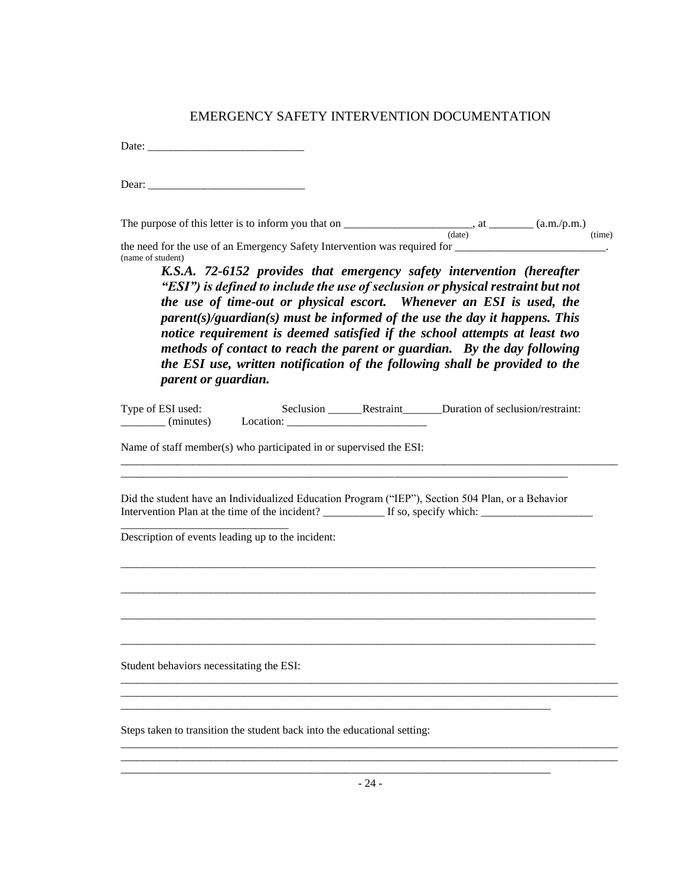| EMERGENCY SAFETY INTERVENTION DOCUMENTATION                                                                                                                                                                                                                                                                                                                                                                                                                                                                                                                                                           |        |
|-------------------------------------------------------------------------------------------------------------------------------------------------------------------------------------------------------------------------------------------------------------------------------------------------------------------------------------------------------------------------------------------------------------------------------------------------------------------------------------------------------------------------------------------------------------------------------------------------------|--------|
|                                                                                                                                                                                                                                                                                                                                                                                                                                                                                                                                                                                                       |        |
|                                                                                                                                                                                                                                                                                                                                                                                                                                                                                                                                                                                                       |        |
| The purpose of this letter is to inform you that on $\frac{1}{(date)}$ , at $\frac{1}{(date)}$ (a.m./p.m.)                                                                                                                                                                                                                                                                                                                                                                                                                                                                                            | (iime) |
| (name of student)<br>K.S.A. 72-6152 provides that emergency safety intervention (hereafter<br>"ESI") is defined to include the use of seclusion or physical restraint but not<br>the use of time-out or physical escort. Whenever an ESI is used, the<br>$parent(s)/quardian(s)$ must be informed of the use the day it happens. This<br>notice requirement is deemed satisfied if the school attempts at least two<br>methods of contact to reach the parent or guardian. By the day following<br>the ESI use, written notification of the following shall be provided to the<br>parent or guardian. |        |
| Type of ESI used:<br>Seclusion ___________Restraint __________Duration of seclusion/restraint:<br>Name of staff member(s) who participated in or supervised the ESI:                                                                                                                                                                                                                                                                                                                                                                                                                                  |        |
| Did the student have an Individualized Education Program ("IEP"), Section 504 Plan, or a Behavior                                                                                                                                                                                                                                                                                                                                                                                                                                                                                                     |        |
| Description of events leading up to the incident:                                                                                                                                                                                                                                                                                                                                                                                                                                                                                                                                                     |        |
|                                                                                                                                                                                                                                                                                                                                                                                                                                                                                                                                                                                                       |        |
|                                                                                                                                                                                                                                                                                                                                                                                                                                                                                                                                                                                                       |        |
| Student behaviors necessitating the ESI:                                                                                                                                                                                                                                                                                                                                                                                                                                                                                                                                                              |        |
|                                                                                                                                                                                                                                                                                                                                                                                                                                                                                                                                                                                                       |        |
| Steps taken to transition the student back into the educational setting:                                                                                                                                                                                                                                                                                                                                                                                                                                                                                                                              |        |
|                                                                                                                                                                                                                                                                                                                                                                                                                                                                                                                                                                                                       |        |

 $-24-$ \_\_\_\_\_\_\_\_\_\_\_\_\_\_\_\_\_\_\_\_\_\_\_\_\_\_\_\_\_\_\_\_\_\_\_\_\_\_\_\_\_\_\_\_\_\_\_\_\_\_\_\_\_\_\_\_\_\_\_\_\_\_\_\_\_\_\_\_\_\_\_\_\_\_\_\_\_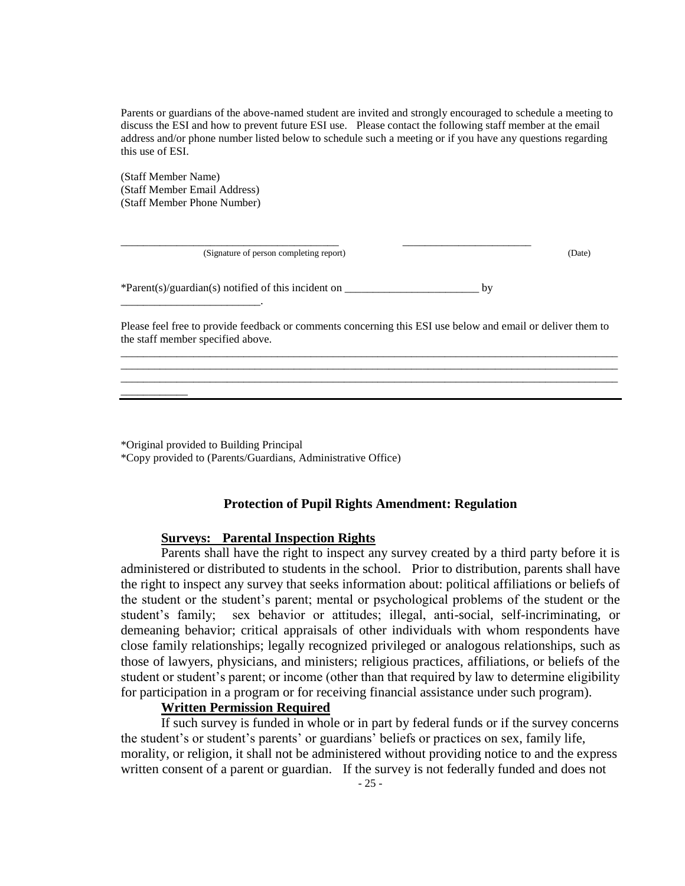Parents or guardians of the above-named student are invited and strongly encouraged to schedule a meeting to discuss the ESI and how to prevent future ESI use. Please contact the following staff member at the email address and/or phone number listed below to schedule such a meeting or if you have any questions regarding this use of ESI.

(Staff Member Name) (Staff Member Email Address) (Staff Member Phone Number)

\_\_\_\_\_\_\_\_\_\_\_\_\_\_\_\_\_\_\_\_\_\_\_\_\_.

\_\_\_\_\_\_\_\_\_\_\_\_

(Signature of person completing report) (Date)

\*Parent(s)/guardian(s) notified of this incident on \_\_\_\_\_\_\_\_\_\_\_\_\_\_\_\_\_\_\_\_\_\_\_\_ by

\_\_\_\_\_\_\_\_\_\_\_\_\_\_\_\_\_\_\_\_\_\_\_\_\_\_\_\_\_\_\_\_\_\_\_\_\_\_\_ \_\_\_\_\_\_\_\_\_\_\_\_\_\_\_\_\_\_\_\_\_\_\_

Please feel free to provide feedback or comments concerning this ESI use below and email or deliver them to the staff member specified above. \_\_\_\_\_\_\_\_\_\_\_\_\_\_\_\_\_\_\_\_\_\_\_\_\_\_\_\_\_\_\_\_\_\_\_\_\_\_\_\_\_\_\_\_\_\_\_\_\_\_\_\_\_\_\_\_\_\_\_\_\_\_\_\_\_\_\_\_\_\_\_\_\_\_\_\_\_\_\_\_\_\_\_\_\_\_\_\_\_

\_\_\_\_\_\_\_\_\_\_\_\_\_\_\_\_\_\_\_\_\_\_\_\_\_\_\_\_\_\_\_\_\_\_\_\_\_\_\_\_\_\_\_\_\_\_\_\_\_\_\_\_\_\_\_\_\_\_\_\_\_\_\_\_\_\_\_\_\_\_\_\_\_\_\_\_\_\_\_\_\_\_\_\_\_\_\_\_\_ \_\_\_\_\_\_\_\_\_\_\_\_\_\_\_\_\_\_\_\_\_\_\_\_\_\_\_\_\_\_\_\_\_\_\_\_\_\_\_\_\_\_\_\_\_\_\_\_\_\_\_\_\_\_\_\_\_\_\_\_\_\_\_\_\_\_\_\_\_\_\_\_\_\_\_\_\_\_\_\_\_\_\_\_\_\_\_\_\_

\*Original provided to Building Principal \*Copy provided to (Parents/Guardians, Administrative Office)

#### **Protection of Pupil Rights Amendment: Regulation**

#### **Surveys: Parental Inspection Rights**

Parents shall have the right to inspect any survey created by a third party before it is administered or distributed to students in the school. Prior to distribution, parents shall have the right to inspect any survey that seeks information about: political affiliations or beliefs of the student or the student's parent; mental or psychological problems of the student or the student's family; sex behavior or attitudes; illegal, anti-social, self-incriminating, or demeaning behavior; critical appraisals of other individuals with whom respondents have close family relationships; legally recognized privileged or analogous relationships, such as those of lawyers, physicians, and ministers; religious practices, affiliations, or beliefs of the student or student's parent; or income (other than that required by law to determine eligibility for participation in a program or for receiving financial assistance under such program).

### **Written Permission Required**

If such survey is funded in whole or in part by federal funds or if the survey concerns the student's or student's parents' or guardians' beliefs or practices on sex, family life, morality, or religion, it shall not be administered without providing notice to and the express written consent of a parent or guardian. If the survey is not federally funded and does not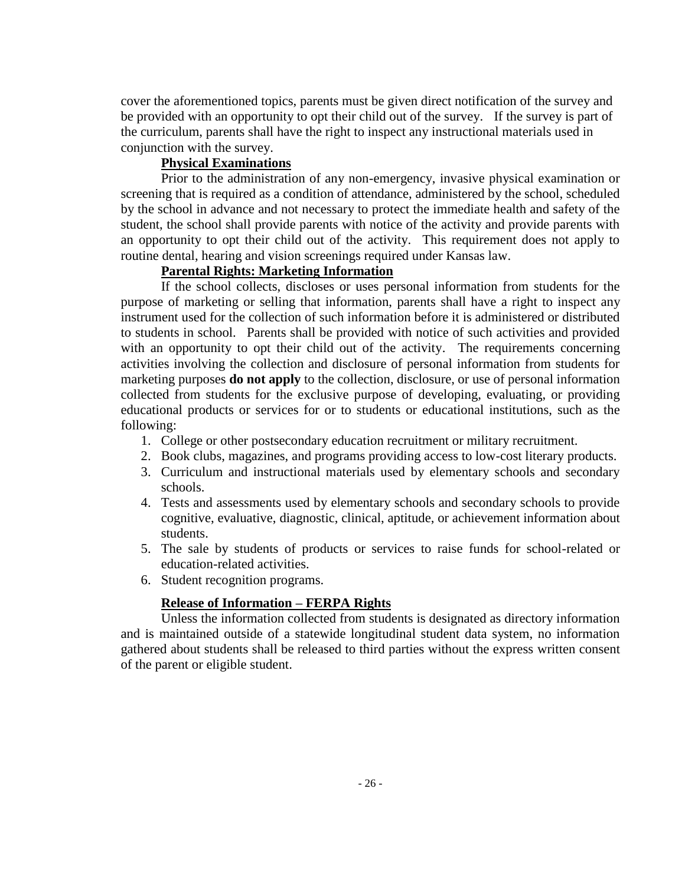cover the aforementioned topics, parents must be given direct notification of the survey and be provided with an opportunity to opt their child out of the survey. If the survey is part of the curriculum, parents shall have the right to inspect any instructional materials used in conjunction with the survey.

### **Physical Examinations**

Prior to the administration of any non-emergency, invasive physical examination or screening that is required as a condition of attendance, administered by the school, scheduled by the school in advance and not necessary to protect the immediate health and safety of the student, the school shall provide parents with notice of the activity and provide parents with an opportunity to opt their child out of the activity. This requirement does not apply to routine dental, hearing and vision screenings required under Kansas law.

# **Parental Rights: Marketing Information**

If the school collects, discloses or uses personal information from students for the purpose of marketing or selling that information, parents shall have a right to inspect any instrument used for the collection of such information before it is administered or distributed to students in school. Parents shall be provided with notice of such activities and provided with an opportunity to opt their child out of the activity. The requirements concerning activities involving the collection and disclosure of personal information from students for marketing purposes **do not apply** to the collection, disclosure, or use of personal information collected from students for the exclusive purpose of developing, evaluating, or providing educational products or services for or to students or educational institutions, such as the following:

- 1. College or other postsecondary education recruitment or military recruitment.
- 2. Book clubs, magazines, and programs providing access to low-cost literary products.
- 3. Curriculum and instructional materials used by elementary schools and secondary schools.
- 4. Tests and assessments used by elementary schools and secondary schools to provide cognitive, evaluative, diagnostic, clinical, aptitude, or achievement information about students.
- 5. The sale by students of products or services to raise funds for school-related or education-related activities.
- 6. Student recognition programs.

### **Release of Information – FERPA Rights**

Unless the information collected from students is designated as directory information and is maintained outside of a statewide longitudinal student data system, no information gathered about students shall be released to third parties without the express written consent of the parent or eligible student.